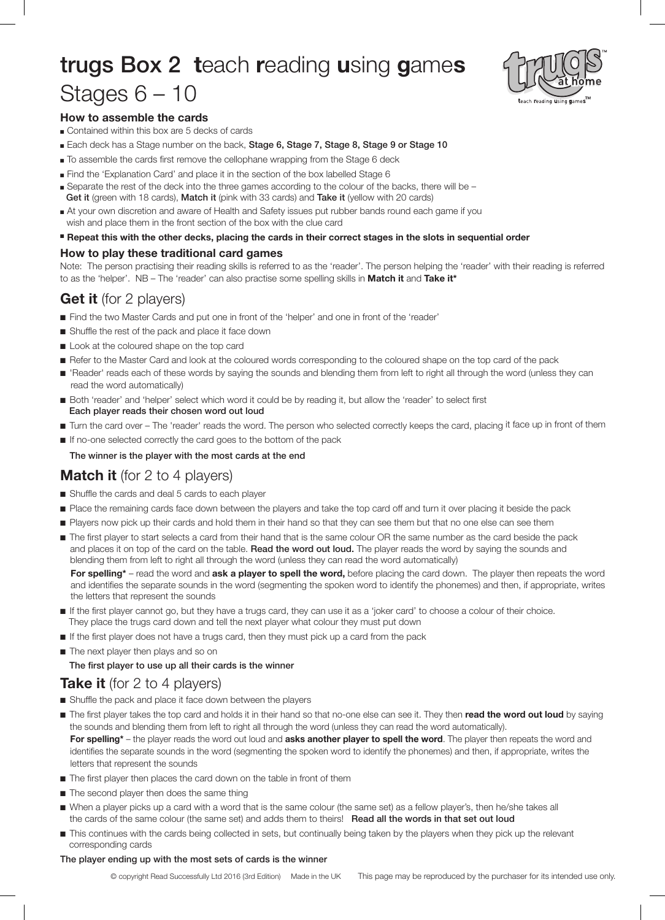# trugs Box 2 **t**each **r**eading **u**sing **g**ame**s** Stages 6 – 10



### **How to assemble the cards**

- Contained within this box are 5 decks of cards
- Each deck has a Stage number on the back, Stage 6, Stage 7, Stage 8, Stage 9 or Stage 10
- $\blacksquare$  To assemble the cards first remove the cellophane wrapping from the Stage 6 deck
- <sup>n</sup> Find the 'Explanation Card' and place it in the section of the box labelled Stage 6
- <sup>n</sup> Separate the rest of the deck into the three games according to the colour of the backs, there will be Get it (green with 18 cards), Match it (pink with 33 cards) and Take it (yellow with 20 cards)
- At your own discretion and aware of Health and Safety issues put rubber bands round each game if you wish and place them in the front section of the box with the clue card
- " Repeat this with the other decks, placing the cards in their correct stages in the slots in sequential order

#### **How to play these traditional card games**

Note: The person practising their reading skills is referred to as the 'reader'. The person helping the 'reader' with their reading is referred to as the 'helper'. NB – The 'reader' can also practise some spelling skills in **Match it** and **Take it\***

# **Get it** (for 2 players)

- n Find the two Master Cards and put one in front of the 'helper' and one in front of the 'reader'
- Shuffle the rest of the pack and place it face down
- **n** Look at the coloured shape on the top card
- Refer to the Master Card and look at the coloured words corresponding to the coloured shape on the top card of the pack
- n 'Reader' reads each of these words by saying the sounds and blending them from left to right all through the word (unless they can read the word automatically)
- n Both 'reader' and 'helper' select which word it could be by reading it, but allow the 'reader' to select first Each player reads their chosen word out loud
- n Turn the card over The 'reader' reads the word. The person who selected correctly keeps the card, placing it face up in front of them
- n If no-one selected correctly the card goes to the bottom of the pack

The winner is the player with the most cards at the end

## **Match it** (for 2 to 4 players)

- Shuffle the cards and deal 5 cards to each player
- n Place the remaining cards face down between the players and take the top card off and turn it over placing it beside the pack
- n Players now pick up their cards and hold them in their hand so that they can see them but that no one else can see them
- n The first player to start selects a card from their hand that is the same colour OR the same number as the card beside the pack and places it on top of the card on the table. Read the word out loud. The player reads the word by saying the sounds and blending them from left to right all through the word (unless they can read the word automatically)

**For spelling\*** – read the word and **ask a player to spell the word,** before placing the card down. The player then repeats the word and identifies the separate sounds in the word (segmenting the spoken word to identify the phonemes) and then, if appropriate, writes the letters that represent the sounds

- n If the first player cannot go, but they have a trugs card, they can use it as a 'joker card' to choose a colour of their choice. They place the trugs card down and tell the next player what colour they must put down
- n If the first player does not have a trugs card, then they must pick up a card from the pack
- $\blacksquare$  The next player then plays and so on The first player to use up all their cards is the winner

## **Take it** (for 2 to 4 players)

- **n** Shuffle the pack and place it face down between the players
- n The first player takes the top card and holds it in their hand so that no-one else can see it. They then **read the word out loud** by saying the sounds and blending them from left to right all through the word (unless they can read the word automatically). **For spelling\*** – the player reads the word out loud and **asks another player to spell the word**. The player then repeats the word and identifies the separate sounds in the word (segmenting the spoken word to identify the phonemes) and then, if appropriate, writes the letters that represent the sounds
- $\blacksquare$  The first player then places the card down on the table in front of them
- $\blacksquare$  The second player then does the same thing
- n When a player picks up a card with a word that is the same colour (the same set) as a fellow player's, then he/she takes all the cards of the same colour (the same set) and adds them to theirs! Read all the words in that set out loud
- n This continues with the cards being collected in sets, but continually being taken by the players when they pick up the relevant corresponding cards

#### The player ending up with the most sets of cards is the winner